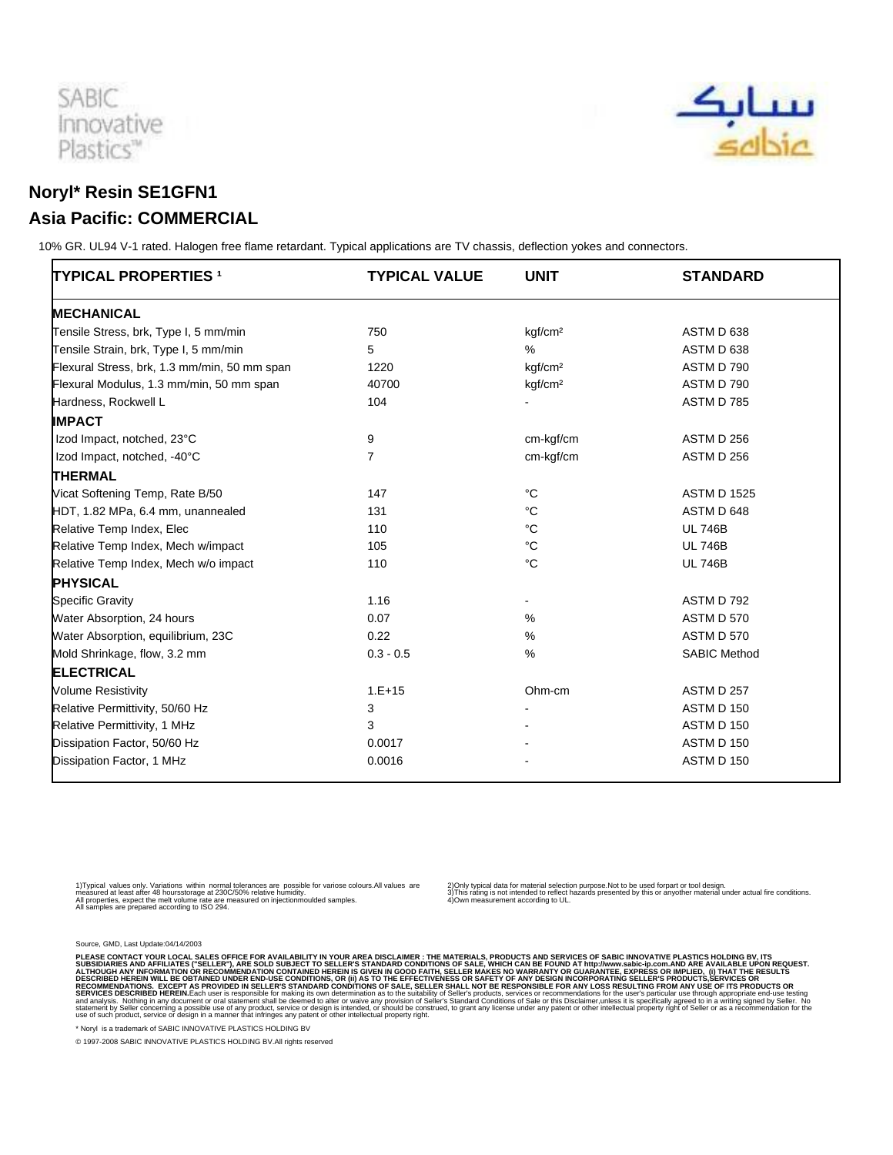



## **Noryl\* Resin SE1GFN1 Asia Pacific: COMMERCIAL**

 10% GR. UL94 V-1 rated. Halogen free flame retardant. Typical applications are TV chassis, deflection yokes and connectors.

| <b>TYPICAL PROPERTIES 1</b>                  | <b>TYPICAL VALUE</b> | <b>UNIT</b>         | <b>STANDARD</b>     |
|----------------------------------------------|----------------------|---------------------|---------------------|
| <b>MECHANICAL</b>                            |                      |                     |                     |
| Tensile Stress, brk, Type I, 5 mm/min        | 750                  | kgf/cm <sup>2</sup> | ASTM D 638          |
| Tensile Strain, brk, Type I, 5 mm/min        | 5                    | %                   | ASTM D 638          |
| Flexural Stress, brk, 1.3 mm/min, 50 mm span | 1220                 | kgf/cm <sup>2</sup> | ASTM D 790          |
| Flexural Modulus, 1.3 mm/min, 50 mm span     | 40700                | kqf/cm <sup>2</sup> | ASTM D 790          |
| Hardness, Rockwell L                         | 104                  |                     | ASTM D 785          |
| <b>IMPACT</b>                                |                      |                     |                     |
| Izod Impact, notched, 23°C                   | 9                    | cm-kgf/cm           | ASTM D 256          |
| Izod Impact, notched, -40°C                  | 7                    | cm-kgf/cm           | ASTM D 256          |
| <b>THERMAL</b>                               |                      |                     |                     |
| Vicat Softening Temp, Rate B/50              | 147                  | $^{\circ}C$         | <b>ASTM D 1525</b>  |
| HDT, 1.82 MPa, 6.4 mm, unannealed            | 131                  | $^{\circ}C$         | ASTM D 648          |
| Relative Temp Index, Elec                    | 110                  | °C                  | <b>UL 746B</b>      |
| Relative Temp Index, Mech w/impact           | 105                  | $^{\circ}C$         | <b>UL 746B</b>      |
| Relative Temp Index, Mech w/o impact         | 110                  | $^{\circ}C$         | <b>UL 746B</b>      |
| <b>PHYSICAL</b>                              |                      |                     |                     |
| <b>Specific Gravity</b>                      | 1.16                 | $\blacksquare$      | ASTM D 792          |
| Water Absorption, 24 hours                   | 0.07                 | %                   | <b>ASTM D 570</b>   |
| Water Absorption, equilibrium, 23C           | 0.22                 | %                   | ASTM D 570          |
| Mold Shrinkage, flow, 3.2 mm                 | $0.3 - 0.5$          | %                   | <b>SABIC Method</b> |
| <b>ELECTRICAL</b>                            |                      |                     |                     |
| <b>Volume Resistivity</b>                    | $1.E+15$             | Ohm-cm              | <b>ASTM D 257</b>   |
| Relative Permittivity, 50/60 Hz              | 3                    |                     | ASTM D 150          |
| Relative Permittivity, 1 MHz                 | 3                    |                     | ASTM D 150          |
| Dissipation Factor, 50/60 Hz                 | 0.0017               |                     | ASTM D 150          |
| Dissipation Factor, 1 MHz                    | 0.0016               |                     | ASTM D 150          |

1) Typical values only. Variations within normal tolerances are possible for variose colours.All values are<br>measured at least after 48 hours storage at 230C/50% relative humidity.<br>All samples are prepared according to ISO

2) Only typical data for material selection purpose.Not to be used for part or tool design.<br>3) This rating is not intended to reflect hazards presented by this or any other material under actual fire conditions.<br>4) Own me

Source, GMD, Last Update:04/14/2003

PLEASE CONTACT YOUR LOCAL SALES OFFICE FOR AVAILABILITY IN YOUR AREA DISCLAIMER: THE MATERIALS, PRODUCTS AND SENDED TO SALES WHICH CAN BE FOUND AT http://www.sabic-ip.com.AND ARE AVAILABLE UPON REQUEST.<br>ALTHOUGH ANY INFORM

\* Noryl is a trademark of SABIC INNOVATIVE PLASTICS HOLDING BV

© 1997-2008 SABIC INNOVATIVE PLASTICS HOLDING BV.All rights reserved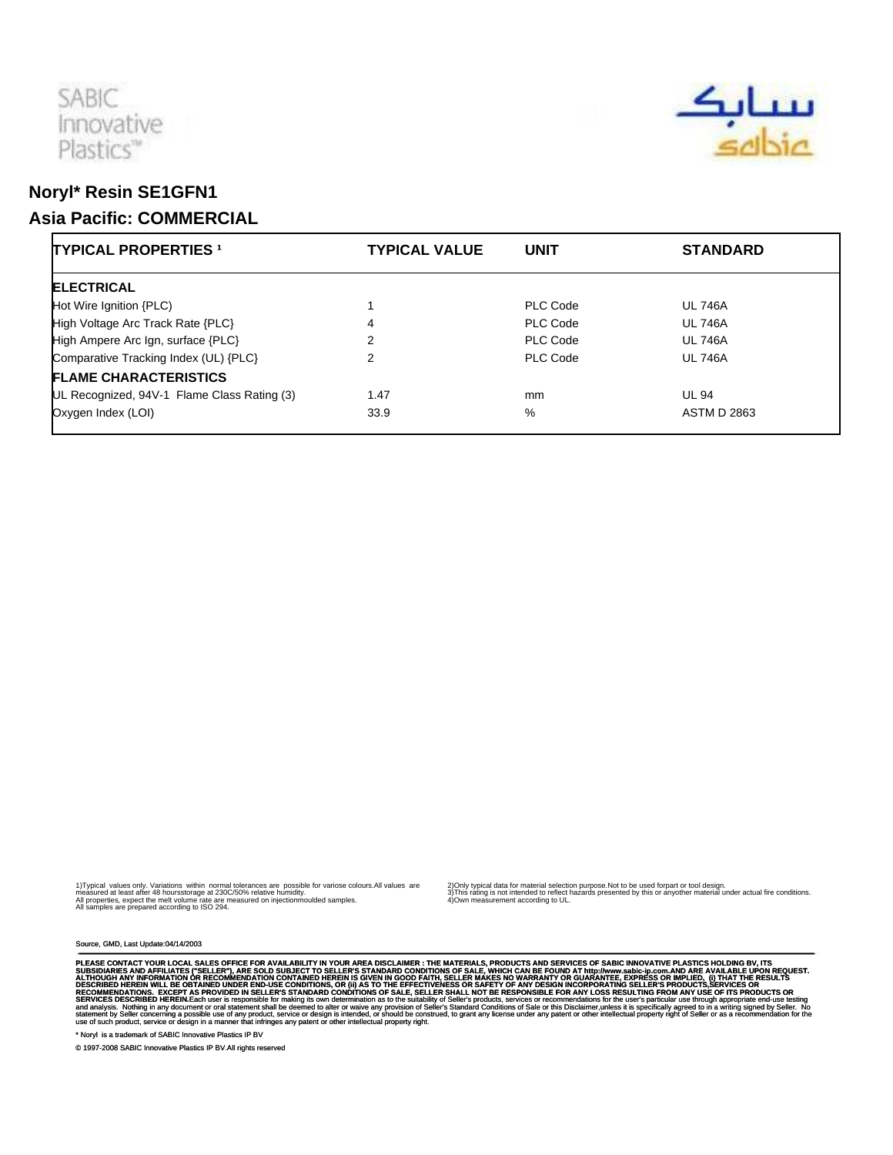



## **Noryl\* Resin SE1GFN1 Asia Pacific: COMMERCIAL**

| <b>TYPICAL PROPERTIES 1</b>                 | <b>TYPICAL VALUE</b> | <b>UNIT</b> | <b>STANDARD</b>    |
|---------------------------------------------|----------------------|-------------|--------------------|
| <b>ELECTRICAL</b>                           |                      |             |                    |
| Hot Wire Ignition {PLC)                     |                      | PLC Code    | <b>UL 746A</b>     |
| High Voltage Arc Track Rate {PLC}           | 4                    | PLC Code    | <b>UL 746A</b>     |
| High Ampere Arc Ign, surface {PLC}          | 2                    | PLC Code    | <b>UL 746A</b>     |
| Comparative Tracking Index (UL) {PLC}       | 2                    | PLC Code    | <b>UL 746A</b>     |
| <b>FLAME CHARACTERISTICS</b>                |                      |             |                    |
| UL Recognized, 94V-1 Flame Class Rating (3) | 1.47                 | mm          | <b>UL 94</b>       |
| Oxygen Index (LOI)                          | 33.9                 | %           | <b>ASTM D 2863</b> |

1) Typical values only. Variations within normal tolerances are possible for variose colours.All values are<br>measured at least after 48 hours storage at 230C/50% relative humidity.<br>All samples are prepared according to ISO

2) Only typical data for material selection purpose.Not to be used for part or tool design.<br>3) This rating is not intended to reflect hazards presented by this or any other material under actual fire conditions.<br>4) Own me

Source, GMD, Last Update:04/14/2003

PLEASE CONTACT YOUR LOCAL SALES OFFICE FOR AVAILABILITY IN YOUR AREA DISCLAIMER : THE MATERIALS, PRODUCTS AND SEVIDES OF SAGIC INNOVATIVE PLASS TO SUPPOSE THE SUPPOSE THE MATERIALS. PRODUCTS AND SERVICES OF SALES WILL ARE

\* Noryl is a trademark of SABIC Innovative Plastics IP BV

© 1997-2008 SABIC Innovative Plastics IP BV.All rights reserved